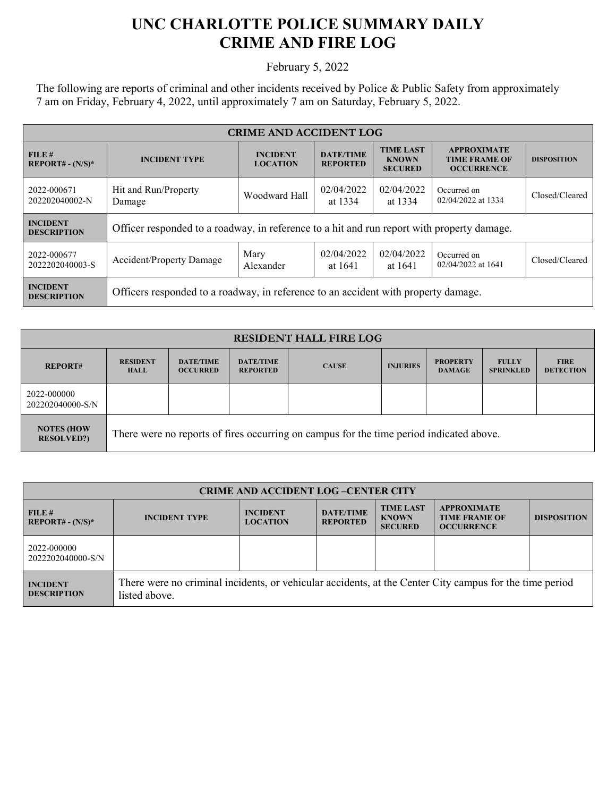## **UNC CHARLOTTE POLICE SUMMARY DAILY CRIME AND FIRE LOG**

February 5, 2022

The following are reports of criminal and other incidents received by Police & Public Safety from approximately 7 am on Friday, February 4, 2022, until approximately 7 am on Saturday, February 5, 2022.

| <b>CRIME AND ACCIDENT LOG</b>         |                                                                                            |                                    |                                     |                                                    |                                                                 |                    |  |
|---------------------------------------|--------------------------------------------------------------------------------------------|------------------------------------|-------------------------------------|----------------------------------------------------|-----------------------------------------------------------------|--------------------|--|
| FILE#<br>$REPORT# - (N/S)*$           | <b>INCIDENT TYPE</b>                                                                       | <b>INCIDENT</b><br><b>LOCATION</b> | <b>DATE/TIME</b><br><b>REPORTED</b> | <b>TIME LAST</b><br><b>KNOWN</b><br><b>SECURED</b> | <b>APPROXIMATE</b><br><b>TIME FRAME OF</b><br><b>OCCURRENCE</b> | <b>DISPOSITION</b> |  |
| 2022-000671<br>202202040002-N         | Hit and Run/Property<br>Damage                                                             | Woodward Hall                      | 02/04/2022<br>at 1334               | 02/04/2022<br>at 1334                              | Occurred on<br>02/04/2022 at 1334                               | Closed/Cleared     |  |
| <b>INCIDENT</b><br><b>DESCRIPTION</b> | Officer responded to a roadway, in reference to a hit and run report with property damage. |                                    |                                     |                                                    |                                                                 |                    |  |
| 2022-000677<br>2022202040003-S        | Accident/Property Damage                                                                   | Mary<br>Alexander                  | 02/04/2022<br>at 1641               | 02/04/2022<br>at 1641                              | Occurred on<br>02/04/2022 at 1641                               | Closed/Cleared     |  |
| <b>INCIDENT</b><br><b>DESCRIPTION</b> | Officers responded to a roadway, in reference to an accident with property damage.         |                                    |                                     |                                                    |                                                                 |                    |  |

| <b>RESIDENT HALL FIRE LOG</b>                                                                                                     |                                |                                     |                                     |              |                 |                                  |                                  |                                 |
|-----------------------------------------------------------------------------------------------------------------------------------|--------------------------------|-------------------------------------|-------------------------------------|--------------|-----------------|----------------------------------|----------------------------------|---------------------------------|
| <b>REPORT#</b>                                                                                                                    | <b>RESIDENT</b><br><b>HALL</b> | <b>DATE/TIME</b><br><b>OCCURRED</b> | <b>DATE/TIME</b><br><b>REPORTED</b> | <b>CAUSE</b> | <b>INJURIES</b> | <b>PROPERTY</b><br><b>DAMAGE</b> | <b>FULLY</b><br><b>SPRINKLED</b> | <b>FIRE</b><br><b>DETECTION</b> |
| 2022-000000<br>202202040000-S/N                                                                                                   |                                |                                     |                                     |              |                 |                                  |                                  |                                 |
| <b>NOTES (HOW</b><br>There were no reports of fires occurring on campus for the time period indicated above.<br><b>RESOLVED?)</b> |                                |                                     |                                     |              |                 |                                  |                                  |                                 |

| <b>CRIME AND ACCIDENT LOG-CENTER CITY</b> |                                                                                                                          |                                    |                                     |                                                    |                                                                 |                    |
|-------------------------------------------|--------------------------------------------------------------------------------------------------------------------------|------------------------------------|-------------------------------------|----------------------------------------------------|-----------------------------------------------------------------|--------------------|
| FILE#<br>$REPORT# - (N/S)*$               | <b>INCIDENT TYPE</b>                                                                                                     | <b>INCIDENT</b><br><b>LOCATION</b> | <b>DATE/TIME</b><br><b>REPORTED</b> | <b>TIME LAST</b><br><b>KNOWN</b><br><b>SECURED</b> | <b>APPROXIMATE</b><br><b>TIME FRAME OF</b><br><b>OCCURRENCE</b> | <b>DISPOSITION</b> |
| 2022-000000<br>2022202040000-S/N          |                                                                                                                          |                                    |                                     |                                                    |                                                                 |                    |
| <b>INCIDENT</b><br><b>DESCRIPTION</b>     | There were no criminal incidents, or vehicular accidents, at the Center City campus for the time period<br>listed above. |                                    |                                     |                                                    |                                                                 |                    |